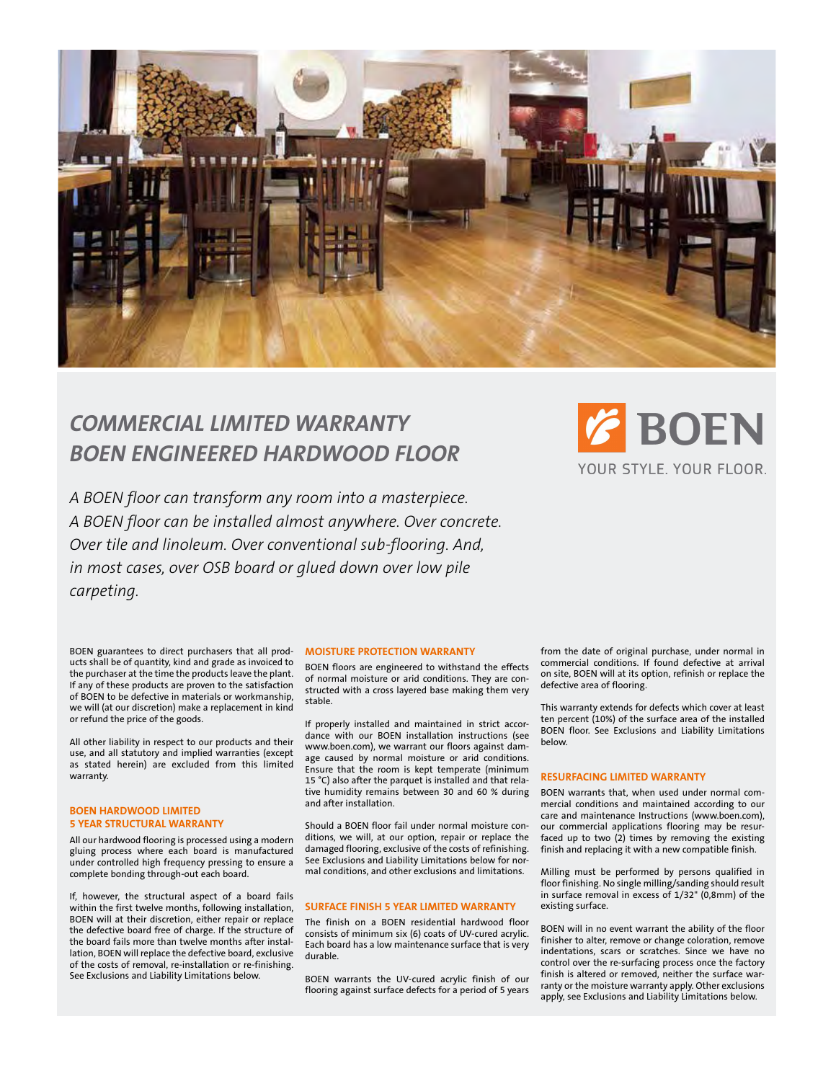

# *Commercial limited Warranty BOEN Engineered Hardwood Floor*

*A BOEN floor can transform any room into a masterpiece. A BOEN floor can be installed almost anywhere. Over concrete. Over tile and linoleum. Over conventional sub-flooring. And, in most cases, over OSB board or glued down over low pile carpeting.* 



BOEN guarantees to direct purchasers that all products shall be of quantity, kind and grade as invoiced to the purchaser at the time the products leave the plant. If any of these products are proven to the satisfaction of BOEN to be defective in materials or workmanship, we will (at our discretion) make a replacement in kind or refund the price of the goods.

All other liability in respect to our products and their use, and all statutory and implied warranties (except as stated herein) are excluded from this limited warranty.

## **BOEN HARDWOOD LIMITED 5 YEAR STRUCTURAL WARRANTY**

All our hardwood flooring is processed using a modern gluing process where each board is manufactured under controlled high frequency pressing to ensure a complete bonding through-out each board.

If, however, the structural aspect of a board fails within the first twelve months, following installation, BOEN will at their discretion, either repair or replace the defective board free of charge. If the structure of the board fails more than twelve months after installation, BOEN will replace the defective board, exclusive of the costs of removal, re-installation or re-finishing. See Exclusions and Liability Limitations below.

#### **MOISTURE PROTECTION WARRANTY**

BOEN floors are engineered to withstand the effects of normal moisture or arid conditions. They are constructed with a cross layered base making them very stable.

If properly installed and maintained in strict accordance with our BOEN installation instructions (see www.boen.com), we warrant our floors against damage caused by normal moisture or arid conditions. Ensure that the room is kept temperate (minimum 15 °C) also after the parquet is installed and that relative humidity remains between 30 and 60 % during and after installation.

Should a BOEN floor fail under normal moisture conditions, we will, at our option, repair or replace the damaged flooring, exclusive of the costs of refinishing. See Exclusions and Liability Limitations below for normal conditions, and other exclusions and limitations.

# **SURFACE FINISH 5 YEAR LIMITED WARRANTY**

The finish on a BOEN residential hardwood floor consists of minimum six (6) coats of UV-cured acrylic. Each board has a low maintenance surface that is very durable.

BOEN warrants the UV-cured acrylic finish of our flooring against surface defects for a period of 5 years

from the date of original purchase, under normal in commercial conditions. If found defective at arrival on site, BOEN will at its option, refinish or replace the defective area of flooring.

This warranty extends for defects which cover at least ten percent (10%) of the surface area of the installed BOEN floor. See Exclusions and Liability Limitations below.

#### **RESURFACING LIMITED WARRANTY**

BOEN warrants that, when used under normal commercial conditions and maintained according to our care and maintenance Instructions (www.boen.com), our commercial applications flooring may be resurfaced up to two (2) times by removing the existing finish and replacing it with a new compatible finish.

Milling must be performed by persons qualified in floor finishing. No single milling/sanding should result in surface removal in excess of  $1/32$ " (0,8mm) of the existing surface.

BOEN will in no event warrant the ability of the floor finisher to alter, remove or change coloration, remove indentations, scars or scratches. Since we have no control over the re-surfacing process once the factory finish is altered or removed, neither the surface warranty or the moisture warranty apply. Other exclusions apply, see Exclusions and Liability Limitations below.